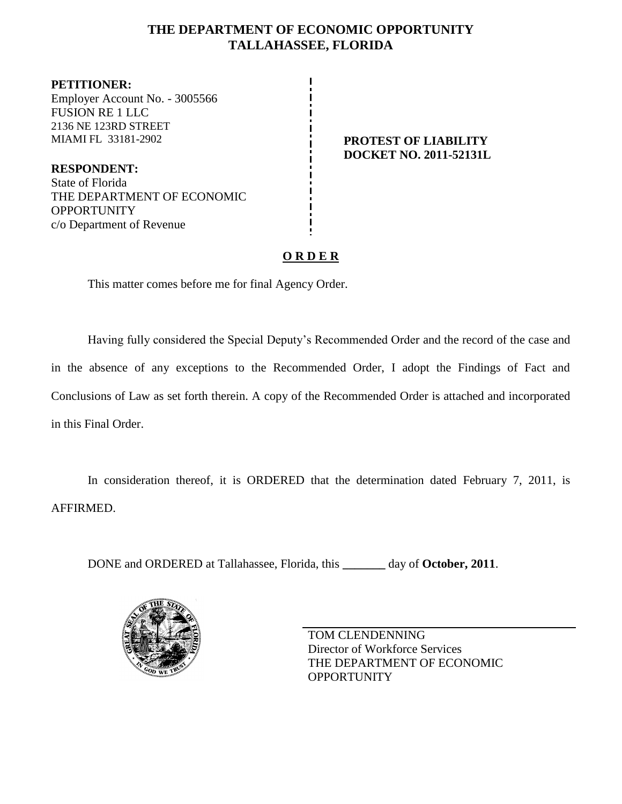# **THE DEPARTMENT OF ECONOMIC OPPORTUNITY TALLAHASSEE, FLORIDA**

**PETITIONER:** Employer Account No. - 3005566 FUSION RE 1 LLC 2136 NE 123RD STREET MIAMI FL 33181-2902 **PROTEST OF LIABILITY**

**RESPONDENT:** State of Florida THE DEPARTMENT OF ECONOMIC **OPPORTUNITY** c/o Department of Revenue

# **DOCKET NO. 2011-52131L**

# **O R D E R**

This matter comes before me for final Agency Order.

Having fully considered the Special Deputy's Recommended Order and the record of the case and in the absence of any exceptions to the Recommended Order, I adopt the Findings of Fact and Conclusions of Law as set forth therein. A copy of the Recommended Order is attached and incorporated in this Final Order.

In consideration thereof, it is ORDERED that the determination dated February 7, 2011, is AFFIRMED.

DONE and ORDERED at Tallahassee, Florida, this **\_\_\_\_\_\_\_** day of **October, 2011**.



TOM CLENDENNING Director of Workforce Services THE DEPARTMENT OF ECONOMIC **OPPORTUNITY**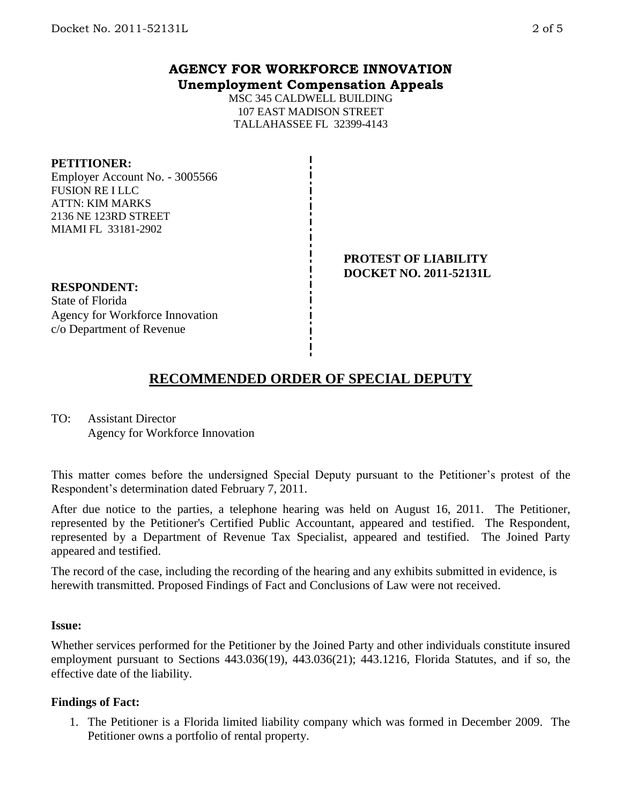## **AGENCY FOR WORKFORCE INNOVATION Unemployment Compensation Appeals**

MSC 345 CALDWELL BUILDING 107 EAST MADISON STREET TALLAHASSEE FL 32399-4143

#### **PETITIONER:**

Employer Account No. - 3005566 FUSION RE I LLC ATTN: KIM MARKS 2136 NE 123RD STREET MIAMI FL 33181-2902

#### **PROTEST OF LIABILITY DOCKET NO. 2011-52131L**

#### **RESPONDENT:** State of Florida Agency for Workforce Innovation c/o Department of Revenue

# **RECOMMENDED ORDER OF SPECIAL DEPUTY**

TO: Assistant Director Agency for Workforce Innovation

This matter comes before the undersigned Special Deputy pursuant to the Petitioner's protest of the Respondent's determination dated February 7, 2011.

After due notice to the parties, a telephone hearing was held on August 16, 2011. The Petitioner, represented by the Petitioner's Certified Public Accountant, appeared and testified. The Respondent, represented by a Department of Revenue Tax Specialist, appeared and testified. The Joined Party appeared and testified.

The record of the case, including the recording of the hearing and any exhibits submitted in evidence, is herewith transmitted. Proposed Findings of Fact and Conclusions of Law were not received.

#### **Issue:**

Whether services performed for the Petitioner by the Joined Party and other individuals constitute insured employment pursuant to Sections 443.036(19), 443.036(21); 443.1216, Florida Statutes, and if so, the effective date of the liability.

#### **Findings of Fact:**

1. The Petitioner is a Florida limited liability company which was formed in December 2009. The Petitioner owns a portfolio of rental property.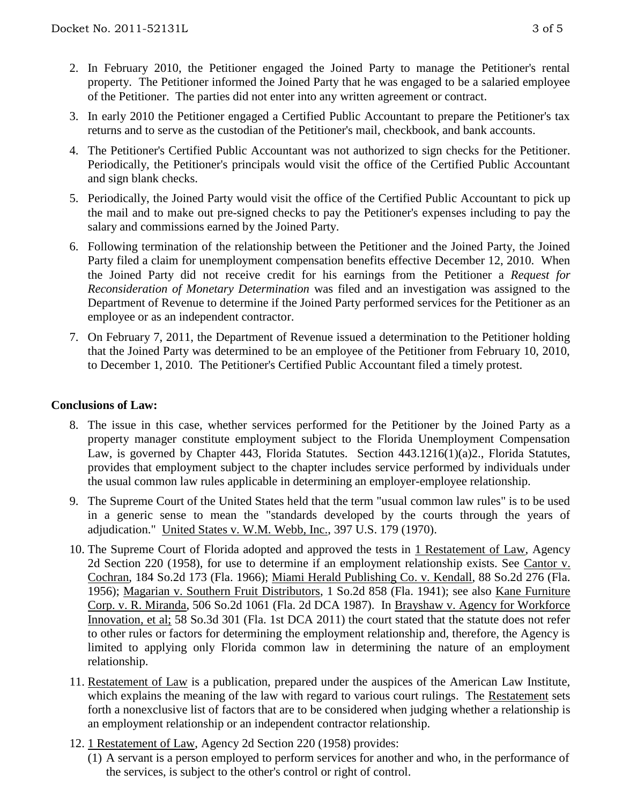- 2. In February 2010, the Petitioner engaged the Joined Party to manage the Petitioner's rental property. The Petitioner informed the Joined Party that he was engaged to be a salaried employee of the Petitioner. The parties did not enter into any written agreement or contract.
- 3. In early 2010 the Petitioner engaged a Certified Public Accountant to prepare the Petitioner's tax returns and to serve as the custodian of the Petitioner's mail, checkbook, and bank accounts.
- 4. The Petitioner's Certified Public Accountant was not authorized to sign checks for the Petitioner. Periodically, the Petitioner's principals would visit the office of the Certified Public Accountant and sign blank checks.
- 5. Periodically, the Joined Party would visit the office of the Certified Public Accountant to pick up the mail and to make out pre-signed checks to pay the Petitioner's expenses including to pay the salary and commissions earned by the Joined Party.
- 6. Following termination of the relationship between the Petitioner and the Joined Party, the Joined Party filed a claim for unemployment compensation benefits effective December 12, 2010. When the Joined Party did not receive credit for his earnings from the Petitioner a *Request for Reconsideration of Monetary Determination* was filed and an investigation was assigned to the Department of Revenue to determine if the Joined Party performed services for the Petitioner as an employee or as an independent contractor.
- 7. On February 7, 2011, the Department of Revenue issued a determination to the Petitioner holding that the Joined Party was determined to be an employee of the Petitioner from February 10, 2010, to December 1, 2010. The Petitioner's Certified Public Accountant filed a timely protest.

### **Conclusions of Law:**

- 8. The issue in this case, whether services performed for the Petitioner by the Joined Party as a property manager constitute employment subject to the Florida Unemployment Compensation Law, is governed by Chapter 443, Florida Statutes. Section 443.1216(1)(a)2., Florida Statutes, provides that employment subject to the chapter includes service performed by individuals under the usual common law rules applicable in determining an employer-employee relationship.
- 9. The Supreme Court of the United States held that the term "usual common law rules" is to be used in a generic sense to mean the "standards developed by the courts through the years of adjudication." United States v. W.M. Webb, Inc., 397 U.S. 179 (1970).
- 10. The Supreme Court of Florida adopted and approved the tests in 1 Restatement of Law, Agency 2d Section 220 (1958), for use to determine if an employment relationship exists. See Cantor v. Cochran, 184 So.2d 173 (Fla. 1966); Miami Herald Publishing Co. v. Kendall, 88 So.2d 276 (Fla. 1956); Magarian v. Southern Fruit Distributors, 1 So.2d 858 (Fla. 1941); see also Kane Furniture Corp. v. R. Miranda, 506 So.2d 1061 (Fla. 2d DCA 1987). In Brayshaw v. Agency for Workforce Innovation, et al; 58 So.3d 301 (Fla. 1st DCA 2011) the court stated that the statute does not refer to other rules or factors for determining the employment relationship and, therefore, the Agency is limited to applying only Florida common law in determining the nature of an employment relationship.
- 11. Restatement of Law is a publication, prepared under the auspices of the American Law Institute, which explains the meaning of the law with regard to various court rulings. The Restatement sets forth a nonexclusive list of factors that are to be considered when judging whether a relationship is an employment relationship or an independent contractor relationship.
- 12. 1 Restatement of Law, Agency 2d Section 220 (1958) provides:
	- (1) A servant is a person employed to perform services for another and who, in the performance of the services, is subject to the other's control or right of control.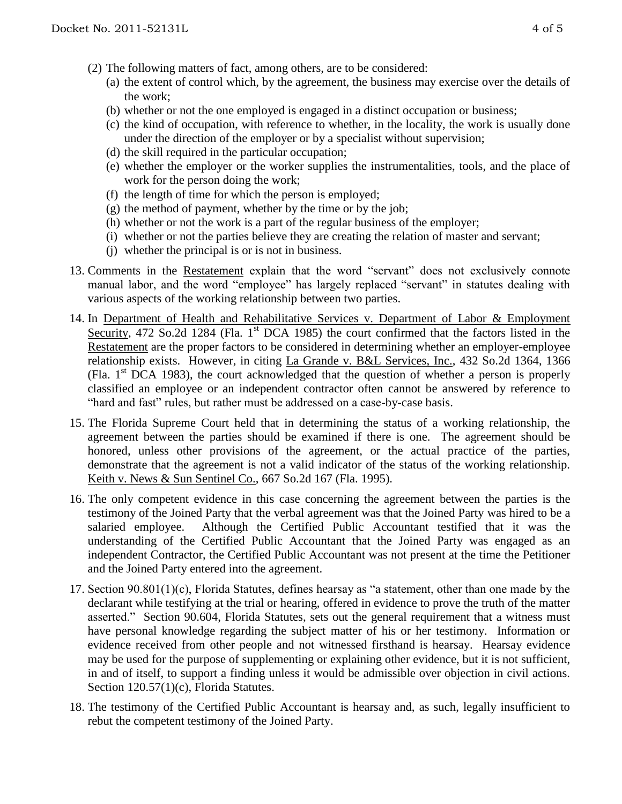- (2) The following matters of fact, among others, are to be considered:
	- (a) the extent of control which, by the agreement, the business may exercise over the details of the work;
	- (b) whether or not the one employed is engaged in a distinct occupation or business;
	- (c) the kind of occupation, with reference to whether, in the locality, the work is usually done under the direction of the employer or by a specialist without supervision;
	- (d) the skill required in the particular occupation;
	- (e) whether the employer or the worker supplies the instrumentalities, tools, and the place of work for the person doing the work;
	- (f) the length of time for which the person is employed;
	- $(g)$  the method of payment, whether by the time or by the job;
	- (h) whether or not the work is a part of the regular business of the employer;
	- (i) whether or not the parties believe they are creating the relation of master and servant;
	- (j) whether the principal is or is not in business.
- 13. Comments in the Restatement explain that the word "servant" does not exclusively connote manual labor, and the word "employee" has largely replaced "servant" in statutes dealing with various aspects of the working relationship between two parties.
- 14. In Department of Health and Rehabilitative Services v. Department of Labor & Employment Security, 472 So.2d 1284 (Fla. 1<sup>st</sup> DCA 1985) the court confirmed that the factors listed in the Restatement are the proper factors to be considered in determining whether an employer-employee relationship exists. However, in citing La Grande v. B&L Services, Inc., 432 So.2d 1364, 1366 (Fla.  $1<sup>st</sup>$  DCA 1983), the court acknowledged that the question of whether a person is properly classified an employee or an independent contractor often cannot be answered by reference to "hard and fast" rules, but rather must be addressed on a case-by-case basis.
- 15. The Florida Supreme Court held that in determining the status of a working relationship, the agreement between the parties should be examined if there is one. The agreement should be honored, unless other provisions of the agreement, or the actual practice of the parties, demonstrate that the agreement is not a valid indicator of the status of the working relationship. Keith v. News & Sun Sentinel Co., 667 So.2d 167 (Fla. 1995).
- 16. The only competent evidence in this case concerning the agreement between the parties is the testimony of the Joined Party that the verbal agreement was that the Joined Party was hired to be a salaried employee. Although the Certified Public Accountant testified that it was the understanding of the Certified Public Accountant that the Joined Party was engaged as an independent Contractor, the Certified Public Accountant was not present at the time the Petitioner and the Joined Party entered into the agreement.
- 17. Section 90.801(1)(c), Florida Statutes, defines hearsay as "a statement, other than one made by the declarant while testifying at the trial or hearing, offered in evidence to prove the truth of the matter asserted." Section 90.604, Florida Statutes, sets out the general requirement that a witness must have personal knowledge regarding the subject matter of his or her testimony. Information or evidence received from other people and not witnessed firsthand is hearsay. Hearsay evidence may be used for the purpose of supplementing or explaining other evidence, but it is not sufficient, in and of itself, to support a finding unless it would be admissible over objection in civil actions. Section 120.57(1)(c), Florida Statutes.
- 18. The testimony of the Certified Public Accountant is hearsay and, as such, legally insufficient to rebut the competent testimony of the Joined Party.